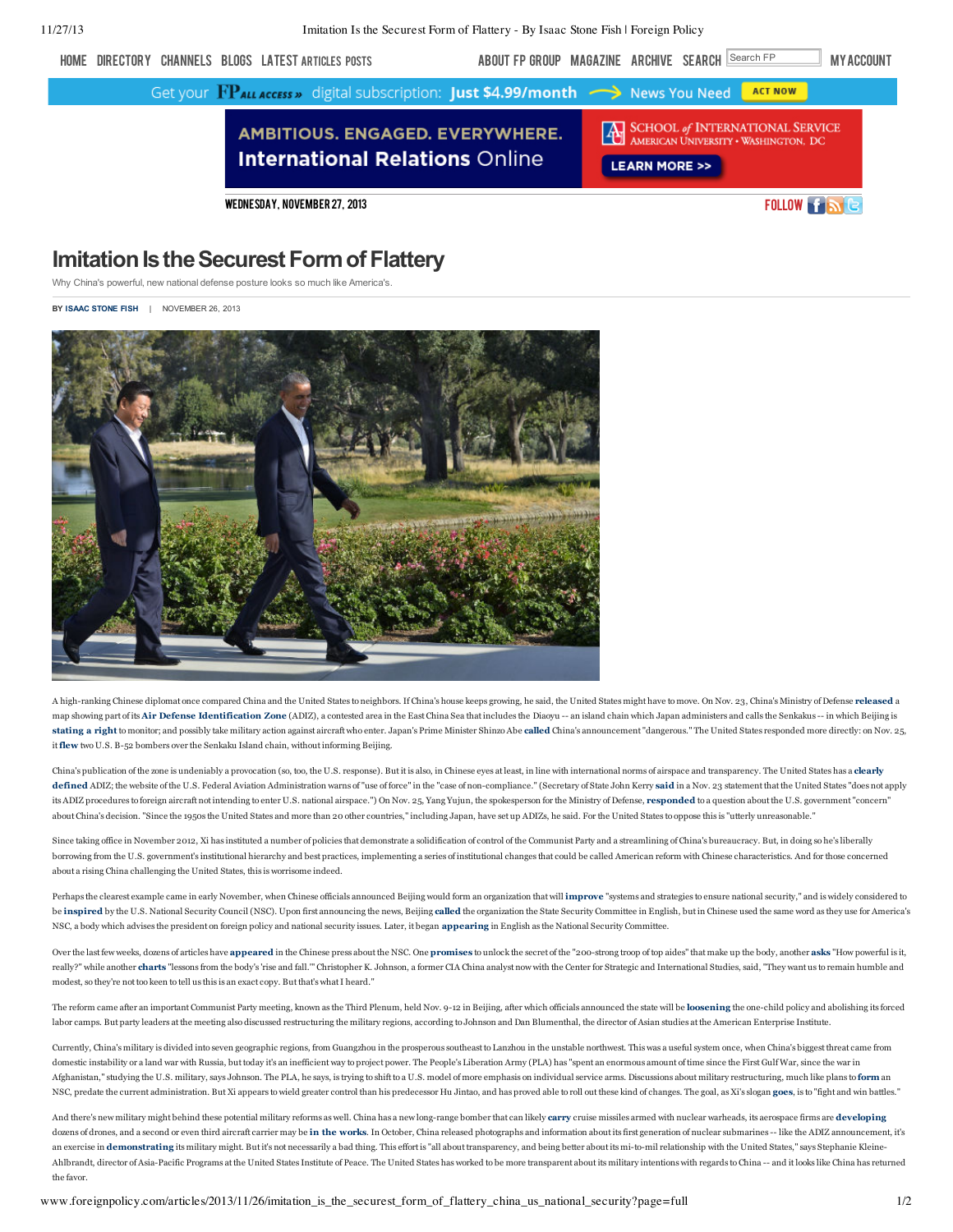11/27/13 Imitation Is the Securest Form of Flattery - By Isaac Stone Fish | Foreign Policy



## **Imitation Is the Securest Form of Flattery**

Why China's powerful, new national defense posture looks so much like America's.

**BY ISAAC [STONE](http://www.foreignpolicy.com/author/IsaacStoneFish) FISH** | NOVEMBER 26, 2013



A high-ranking Chinese diplomat once compared China and the United States to neighbors. If China's house keeps growing, he said, the United States might have to move. On Nov. 23, China's Ministry of Defense **[released](http://news.yahoo.com/japan-hypocritical-impudent-air-zone-row-china-media-040148086.html)** a map showing part of its Air Defense [Identification](http://blog.foreignpolicy.com/posts/2013/11/26/china_has_a_new_air_defense_zone_and_washington_couldnt_care_less) Zone (ADIZ), a contested area in the East China Sea that includes the Diaovu-- an island chain which Japan administers and calls the Senkakus -- in which Beijing is [stating](http://www.nytimes.com/2013/11/24/world/asia/china-warns-of-action-against-aircraft-over-disputed-seas.html) a right to monitor; and possibly take military action against aircraft who enter. Japan's Prime Minister Shinzo Abe [called](http://www.washingtonpost.com/world/asia_pacific/china-objects-to-us-over-sea-defense-zone-remarks/2013/11/24/82548a66-5571-11e3-bdbf-097ab2a3dc2b_story.html) China's announcement "dangerous." The United States responded more directly: on Nov. 25, it**[flew](http://online.wsj.com/news/articles/SB10001424052702303281504579221993719005178)** two U.S. B-52 bombers over the Senkaku Island chain, withoutinforming Beijing.

China's publication of the zone is undeniably a provocation (so, too, the U.S. response). But it is also, in Chinese eyes at least, in line with international norms of airspace and transparency. The United States has a cle defined ADIZ; the website of the U.S. Federal Aviation Administration warns of "use of force" in the "case of [non-compliance."](http://www.faa.gov/air_traffic/publications/ifim/airspace/#adiz) (Secretary of State John Kerry [said](http://www.state.gov/secretary/remarks/2013/11/218013.htm) in a Nov. 23 statement that the United States "does not app its ADIZ procedures to foreign aircraft notintending to enter U.S. national airspace.") On Nov. 25, Yang Yujun, the spokesperson for the Ministry of Defense, **[responded](http://news.xinhuanet.com/2013-11/25/c_118270945.htm)** to a question aboutthe U.S. government "concern" aboutChina's decision. "Since the 1950s the United States and more than 20 other countries," including Japan, have set up ADIZs, he said. For the United States to oppose this is "utterly unreasonable."

Since taking office in November 2012, Xi has instituted a number of policies that demonstrate a solidification of control of the Communist Party and a streamlining of China's bureaucracy. But, in doing so he's liberally borrowing from the U.S. government's institutional hierarchy and best practices, implementing a series of institutional changes that could be called American reform with Chinese characteristics. And for those concerned about a rising China challenging the United States, this is worrisome indeed.

Perhaps the clearest example came in early November, when Chinese officials announced Beijing would form an organization that will [improve](http://news.xinhuanet.com/english/china/2013-11/12/c_132882164.htm) "systems and strategies to ensure national security," and is widely considered to be [inspired](http://www.nytimes.com/2013/11/13/world/asia/chinese-leader-gets-more-sway-on-the-economy-and-security.html) by the U.S. National Security Council (NSC). Upon first announcing the news, Beijing [called](http://news.xinhuanet.com/english/china/2013-11/12/c_132882164.htm) the organization the State Security Committee in English, but in Chinese used the same word as they use for America's NSC, a body which advises the president on foreign policy and national security issues. Later, it began **[appearing](http://www.nytimes.com/2013/11/14/world/asia/national-security-committee-china.html)** in English as the National Security Committee.

Over the last few weeks, dozens of articles have [appeared](https://www.google.com/search?q=%E7%BE%8E%E5%9B%BD%E5%9B%BD%E5%AE%B6%E5%AE%89%E5%85%A8%E5%A7%94%E5%91%98%E4%BC%9A&client=firefox-a&hs=FsM&rls=org.mozilla:en-US:official&source=univ&tbm=nws&tbo=u&sa=X&ei=3MiUUuCdOvOzsAS6zIDQBA&ved=0CDYQqAI) in the Chinese press about the NSC. One [promises](http://gb.cri.cn/42071/2013/11/23/5311s4332491.htm) to unlock the secret of the "200-strong troop of top aides" that make up the body, another [asks](http://stock.sohu.com/s2013/gjaqwyh02/) "How powerful is it really?" while another [charts](http://jjckb.xinhuanet.com/dspd/2013-11/25/content_478258.htm) "lessons from the body's 'rise and fall." Christopher K. Johnson, a former CIA China analyst now with the Center for Strategic and International Studies, said, "They want us to remain humble a modest, so they're not too keen to tell us this is an exact copy. But that's what I heard."

The reform came after an important Communist Party meeting, known as the Third Plenum, held Nov. 9-12 in Beijing, after which officials announced the state will be [loosening](http://www.theguardian.com/world/2013/nov/15/china-one-child-policy-abolish-labour-camps) the one-child policy and abolishing its forced labor camps. But party leaders at the meeting also discussed restructuring the military regions, according to Johnson and Dan Blumenthal, the director of Asian studies at the American Enterprise Institute.

Currently, China's military is divided into seven geographic regions, from Guangzhou in the prosperous southeastto Lanzhou in the unstable northwest. This was a useful system once, when China's biggestthreat came from domestic instability or a land war with Russia, buttoday it's an inefficient way to project power. The People's Liberation Army (PLA) has "spent an enormous amount of time since the First Gulf War, since the war in Afghanistan," studying the U.S. military, says Johnson. The PLA, he says, is trying to shift to a U.S. model of more emphasis on individual service arms. Discussions about military restructuring, much like plans to [form](http://www.bloomberg.com/news/2013-11-13/china-s-communist-party-establishes-a-new-state-security-panel.html) an NSC, predate the current administration. But Xi appears to wield greater control than his predecessor Hu Jintao, and has proved able to roll out these kind of changes. The goal, as Xi's slogan [goes](http://www.chinanews.com/gn/2013/03-12/4634101.shtml), is to "fight and win ba

And there's new military might behind these potential military reforms as well. China has a new long-range bomber that can likely [carry](http://killerapps.foreignpolicy.com/posts/2013/11/20/us_spooked_by_chinas_nuke_bomber_attack_drone_projects) cruise missiles armed with nuclear warheads, its aerospace firms are [developing](http://www.cbsnews.com/news/china-emerges-as-new-force-in-drone-warfare) dozens of drones, and a second or even third aircraft carrier may be in the [works](http://english.peopledaily.com.cn/90786/8397264.html). In October, China released photographs and information about its first generation of nuclear submarines -- like the ADIZ announcement, it's an exercise in [demonstrating](http://www.ft.com/intl/cms/s/0/ff2cc892-3f2c-11e3-b665-00144feabdc0.html#axzz2liPUYTzi) its military might. But it's not necessarily a bad thing. This effort is "all about transparency, and being better about its mi-to-mil relationship with the United States," says Stephanie Klein Ahlbrandt, director of Asia-Pacific Programs at the United States Institute of Peace. The United States has worked to be more transparent about its military intentions with regards to China -- and it looks like China has r the favor.